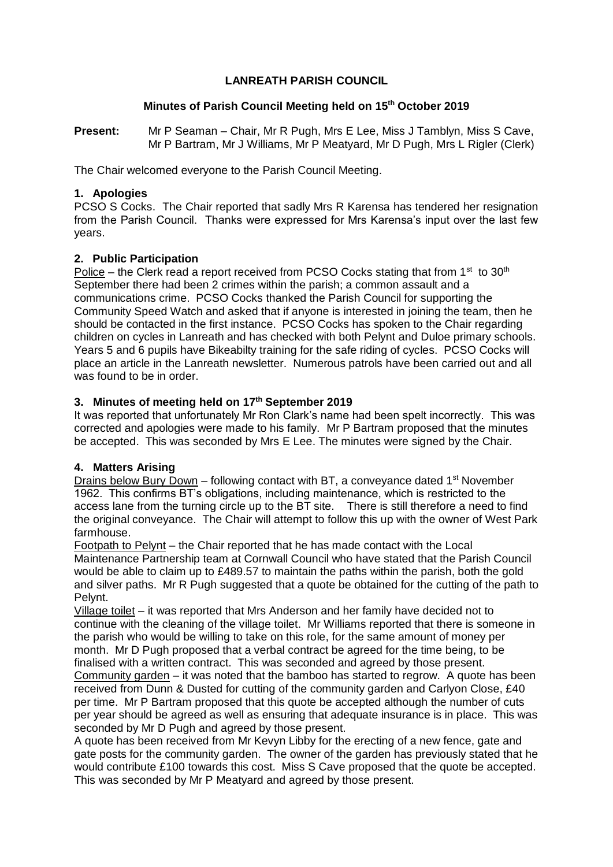## **LANREATH PARISH COUNCIL**

### **Minutes of Parish Council Meeting held on 15th October 2019**

**Present:** Mr P Seaman – Chair, Mr R Pugh, Mrs E Lee, Miss J Tamblyn, Miss S Cave, Mr P Bartram, Mr J Williams, Mr P Meatyard, Mr D Pugh, Mrs L Rigler (Clerk)

The Chair welcomed everyone to the Parish Council Meeting.

## **1. Apologies**

PCSO S Cocks. The Chair reported that sadly Mrs R Karensa has tendered her resignation from the Parish Council. Thanks were expressed for Mrs Karensa's input over the last few years.

## **2. Public Participation**

Police – the Clerk read a report received from PCSO Cocks stating that from 1<sup>st</sup> to 30<sup>th</sup> September there had been 2 crimes within the parish; a common assault and a communications crime. PCSO Cocks thanked the Parish Council for supporting the Community Speed Watch and asked that if anyone is interested in joining the team, then he should be contacted in the first instance. PCSO Cocks has spoken to the Chair regarding children on cycles in Lanreath and has checked with both Pelynt and Duloe primary schools. Years 5 and 6 pupils have Bikeabilty training for the safe riding of cycles. PCSO Cocks will place an article in the Lanreath newsletter. Numerous patrols have been carried out and all was found to be in order.

## **3. Minutes of meeting held on 17th September 2019**

It was reported that unfortunately Mr Ron Clark's name had been spelt incorrectly. This was corrected and apologies were made to his family. Mr P Bartram proposed that the minutes be accepted. This was seconded by Mrs E Lee. The minutes were signed by the Chair.

# **4. Matters Arising**

Drains below Bury Down – following contact with BT, a conveyance dated  $1<sup>st</sup>$  November 1962. This confirms BT's obligations, including maintenance, which is restricted to the access lane from the turning circle up to the BT site. There is still therefore a need to find the original conveyance. The Chair will attempt to follow this up with the owner of West Park farmhouse.

Footpath to Pelynt – the Chair reported that he has made contact with the Local Maintenance Partnership team at Cornwall Council who have stated that the Parish Council would be able to claim up to £489.57 to maintain the paths within the parish, both the gold and silver paths. Mr R Pugh suggested that a quote be obtained for the cutting of the path to Pelynt.

Village toilet – it was reported that Mrs Anderson and her family have decided not to continue with the cleaning of the village toilet. Mr Williams reported that there is someone in the parish who would be willing to take on this role, for the same amount of money per month. Mr D Pugh proposed that a verbal contract be agreed for the time being, to be finalised with a written contract. This was seconded and agreed by those present. Community garden – it was noted that the bamboo has started to regrow. A quote has been received from Dunn & Dusted for cutting of the community garden and Carlyon Close, £40 per time. Mr P Bartram proposed that this quote be accepted although the number of cuts per year should be agreed as well as ensuring that adequate insurance is in place. This was seconded by Mr D Pugh and agreed by those present.

A quote has been received from Mr Kevyn Libby for the erecting of a new fence, gate and gate posts for the community garden. The owner of the garden has previously stated that he would contribute £100 towards this cost. Miss S Cave proposed that the quote be accepted. This was seconded by Mr P Meatyard and agreed by those present.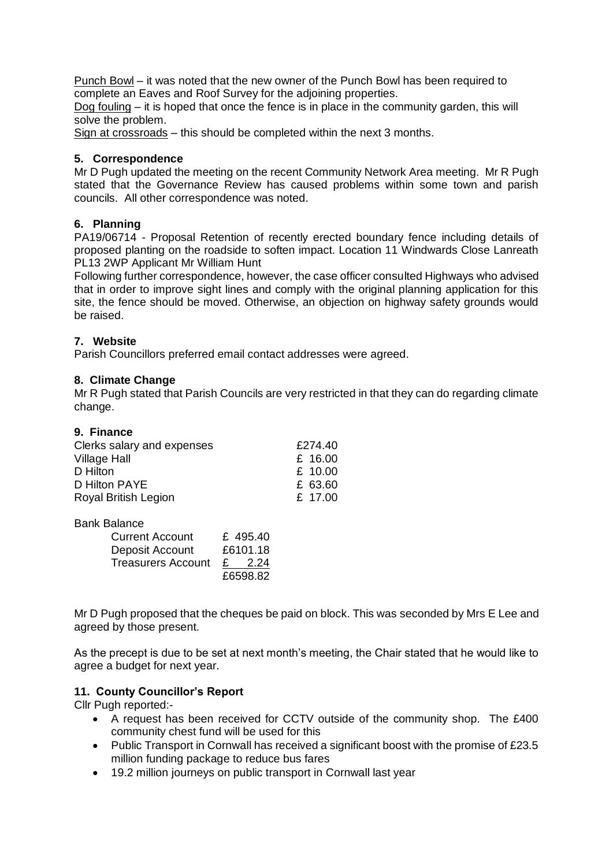Punch Bowl – it was noted that the new owner of the Punch Bowl has been required to complete an Eaves and Roof Survey for the adjoining properties.

Dog fouling – it is hoped that once the fence is in place in the community garden, this will solve the problem.

Sign at crossroads – this should be completed within the next 3 months.

#### **5. Correspondence**

Mr D Pugh updated the meeting on the recent Community Network Area meeting. Mr R Pugh stated that the Governance Review has caused problems within some town and parish councils. All other correspondence was noted.

# **6. Planning**

PA19/06714 - Proposal Retention of recently erected boundary fence including details of proposed planting on the roadside to soften impact. Location 11 Windwards Close Lanreath PL13 2WP Applicant Mr William Hunt

Following further correspondence, however, the case officer consulted Highways who advised that in order to improve sight lines and comply with the original planning application for this site, the fence should be moved. Otherwise, an objection on highway safety grounds would be raised.

# **7. Website**

Parish Councillors preferred email contact addresses were agreed.

#### **8. Climate Change**

Mr R Pugh stated that Parish Councils are very restricted in that they can do regarding climate change.

| 9. Finance                 |         |
|----------------------------|---------|
| Clerks salary and expenses | £274.40 |
| <b>Village Hall</b>        | £ 16.00 |
| D Hilton                   | £ 10.00 |
| D Hilton PAYE              | £ 63.60 |
| Royal British Legion       | £ 17.00 |

Bank Balance

| <b>Current Account</b>    |          | £ 495.40 |
|---------------------------|----------|----------|
| Deposit Account           | £6101.18 |          |
| <b>Treasurers Account</b> |          | £ 2.24   |
|                           |          | £6598.82 |

Mr D Pugh proposed that the cheques be paid on block. This was seconded by Mrs E Lee and agreed by those present.

As the precept is due to be set at next month's meeting, the Chair stated that he would like to agree a budget for next year.

### **11. County Councillor's Report**

Cllr Pugh reported:-

- A request has been received for CCTV outside of the community shop. The £400 community chest fund will be used for this
- Public Transport in Cornwall has received a significant boost with the promise of  $£23.5$ million funding package to reduce bus fares
- 19.2 million journeys on public transport in Cornwall last year